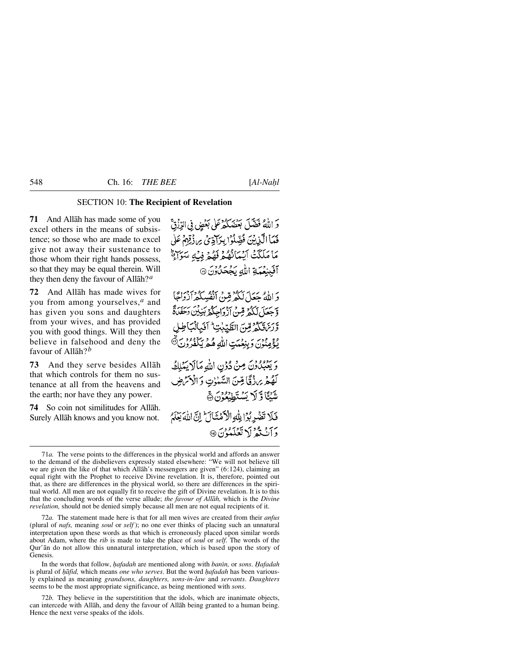# SECTION 10: **The Recipient of Revelation**

**71** And Allåh has made some of you excel others in the means of subsistence; so those who are made to excel give not away their sustenance to those whom their right hands possess, so that they may be equal therein. Will they then deny the favour of Allåh?*<sup>a</sup>*

**72** And Allåh has made wives for you from among yourselves,*<sup>a</sup>* and has given you sons and daughters from your wives, and has provided you with good things. Will they then believe in falsehood and deny the favour of Allåh?*<sup>b</sup>*

**73** And they serve besides Allåh that which controls for them no sustenance at all from the heavens and the earth; nor have they any power.

**74** So coin not similitudes for Allåh. Surely Allåh knows and you know not.

وَ اللَّهُ فَضَّلَ بَعْضَكُمْ عَلَى بَعْضٍ فِى الرِّزْقِّ فَمَا الَّذِيْنَ فُضِّلُوْ إِبِرَادِّىُ مِ زَقِهِمْ عَلَى مَا مَلَكَتْ آسْيَانُهُمْ فَهُمْ فِبِّهِ سَوَآةً آفَينِعَهَةِ اللهِ يَجْحَلُونَ @

وَ اللَّهُ جَعَلَ لَكُمْ قِينُ أَنْفُسِكُمْ أَزْدَاجًا وَّجَعَلَ لَكُمْ قِنْ أَزْوَاجِكُمْ بَنِيْنَ دَخَفَنَةً وربرة كدرين الطّيّات أفَبالْبَاطِل يُؤْمِنُونَ وَبِنِعْمَتِ اللَّهِ هُمْ يَكْفُرُوْنَ۞

وَيَعْبُدُونَ مِنْ دُوْنِ اللَّهِ مَالَا يَمْلِكُ لَّهُمْ ِيَرَزْقًا مِّنَ السَّنْزِتِ وَالْأَكْرَضِ شَبْكَا وَ لَا يَسْتَطِبْعُوْنَ ﴾

فَلَا تَضْرِبُوْا بِلَّهِ الْأَهْنَانَ إِنَّ اللَّهَ يَغْلَمُ دَأَنْ ثَدُّ لَا تَعْلَمْ ُوْنَ ۞

72*a.* The statement made here is that for all men wives are created from their *anfus* (plural of *nafs,* meaning *soul* or *self* ); no one ever thinks of placing such an unnatural interpretation upon these words as that which is erroneously placed upon similar words about Adam, where the *rib* is made to take the place of *soul* or *self*. The words of the Qur'ån do not allow this unnatural interpretation, which is based upon the story of Genesis.

In the words that follow, *hafadah* are mentioned along with *banin*, or *sons*. *Hafadah* is plural of *hafid*, which means *one who serves*. But the word *hafadah* has been variously explained as meaning *grandsons, daughters, sons-in-law* and *servants*. *Daughters* seems to be the most appropriate significance, as being mentioned with *sons*.

72*b.* They believe in the superstitition that the idols, which are inanimate objects, can intercede with Allåh, and deny the favour of Allåh being granted to a human being. Hence the next verse speaks of the idols.

<sup>71</sup>*a.* The verse points to the differences in the physical world and affords an answer to the demand of the disbelievers expressly stated elsewhere: "We will not believe till we are given the like of that which Allåh's messengers are given" (6:124), claiming an equal right with the Prophet to receive Divine revelation. It is, therefore, pointed out that, as there are differences in the physical world, so there are differences in the spiritual world. All men are not equally fit to receive the gift of Divine revelation. It is to this that the concluding words of the verse allude; *the favour of Allåh,* which is the *Divine revelation,* should not be denied simply because all men are not equal recipients of it.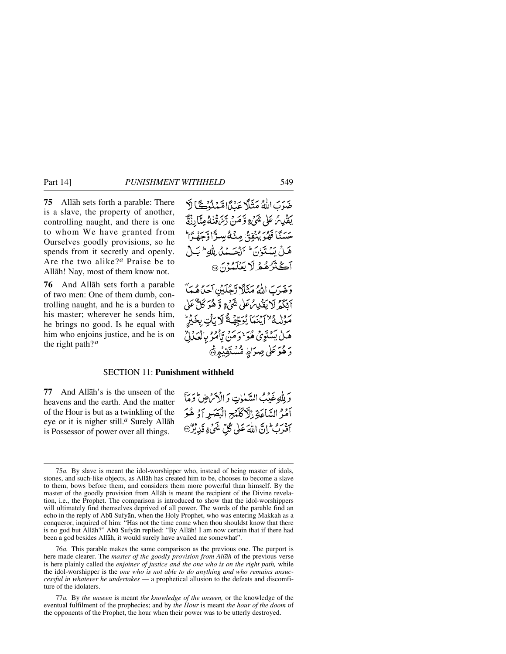**75** Allåh sets forth a parable: There is a slave, the property of another, controlling naught, and there is one to whom We have granted from Ourselves goodly provisions, so he spends from it secretly and openly. Are the two alike?*<sup>a</sup>* Praise be to Allåh! Nay, most of them know not.

**76** And Allåh sets forth a parable of two men: One of them dumb, controlling naught, and he is a burden to his master; wherever he sends him, he brings no good. Is he equal with him who enjoins justice, and he is on the right path?*<sup>a</sup>*

وَخَبِرَبَ اللَّهُ مَثَلًا رَّجُلَيْنِ آحَدُهُمَهَا أَبْكَمُ لَا يَقْدِمُ عَلَى شَيْءٍ وَّكْدُ كَلَّ عَلَى مَوْلِيهُ "آيْنَمَا يُوَجِّهُ \* لَا يَأْتِ بِخَيْرٍ هَـٰلُ يَسۡتَوَىٰٓ هُوَ ٰ وَمَن يَّأۡمُرُ بِالۡصَلَٰلِ ۚ دَ هُوَ عَلَى صِرَاطِ مُّسْتَقِيْدِ۞

## SECTION 11: **Punishment withheld**

**77** And Allåh's is the unseen of the heavens and the earth. And the matter of the Hour is but as a twinkling of the eye or it is nigher still.*<sup>a</sup>* Surely Allåh is Possessor of power over all things.

وَلِلَّهِ غَدْمٍ السَّنْوٰتِ وَالْأَمَرُضِ تَوَمَّأَ آمْرُ السَّاعَةِ اِلَّاكَلَنْجِ الْبَصَرِ آوُ هُوَ آفَرَبُ إِنَّ اللَّهَ عَلَىٰ كُلِّ شَيْءٍ قَدِيْرٌ

<sup>75</sup>*a.* By slave is meant the idol-worshipper who, instead of being master of idols, stones, and such-like objects, as Allåh has created him to be, chooses to become a slave to them, bows before them, and considers them more powerful than himself. By the master of the goodly provision from Allåh is meant the recipient of the Divine revelation, i.e., the Prophet. The comparison is introduced to show that the idol-worshippers will ultimately find themselves deprived of all power. The words of the parable find an echo in the reply of Abū Sufyān, when the Holy Prophet, who was entering Makkah as a conqueror, inquired of him: "Has not the time come when thou shouldst know that there is no god but Allåh?" Ab∂ Sufyån replied: "By Allåh! I am now certain that if there had been a god besides Allåh, it would surely have availed me somewhat".

<sup>76</sup>*a.* This parable makes the same comparison as the previous one. The purport is here made clearer. The *master of the goodly provision from Allåh* of the previous verse is here plainly called the *enjoiner of justice and the one who is on the right path,* while the idol-worshipper is the *one who is not able to do anything and who remains unsuccessful in whatever he undertakes* — a prophetical allusion to the defeats and discomfiture of the idolaters.

<sup>77</sup>*a.* By *the unseen* is meant *the knowledge of the unseen,* or the knowledge of the eventual fulfilment of the prophecies; and by *the Hour* is meant *the hour of the doom* of the opponents of the Prophet, the hour when their power was to be utterly destroyed.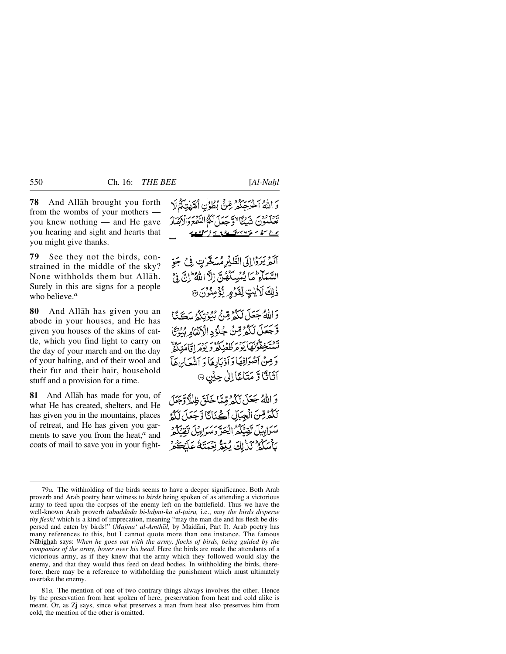**78** And Allåh brought you forth from the wombs of your mothers you knew nothing — and He gave you hearing and sight and hearts that you might give thanks.

**79** See they not the birds, constrained in the middle of the sky? None withholds them but Allåh. Surely in this are signs for a people who believe.*<sup>a</sup>*

**80** And Allåh has given you an abode in your houses, and He has given you houses of the skins of cattle, which you find light to carry on the day of your march and on the day of your halting, and of their wool and their fur and their hair, household stuff and a provision for a time.

**81** And Allåh has made for you, of what He has created, shelters, and He has given you in the mountains, places of retreat, and He has given you garments to save you from the heat,*<sup>a</sup>* and coats of mail to save you in your fight-

وَ اللَّهُ آخَرَ حَكَّمَ مِّنَّى بُطُوْنِ أُمَّهُتِكُمُ لَا بَيْنَ وَمَنْ يَدْيِجًا لَهَ يَبِيهَا كَكَّوْالِدَّهُمْ دَالْأَيْضَارُ <u>- ger e e e e recontro e e e e e e</u>

آلَمْ يَرَوْا إِلَى الطَّيْرِ مُسَخَّرْتٍ فِي جَوِّ السَّمَآءِ مَا يُمۡسِكُهُنَّ اِلَّا اللَّهُ ۚ إِنَّ لَهُ ۚ وَلَ ذْلِكَ لَأَيْتٍ لِّقَرُّمِ يُّؤْمِنُوْنَ @

وَاللَّهُ جَعَلَ لَكُوْ مِّنْ بُيُوْتِكُوُ سَكَنَّا وَّجَعَلَ لَكُمْ رِّسٌ جُلُوُدِ الْأَنْثَامِ بُيُوْتًا يْرْيَجِمْتُوْنَهَا يُؤْمِرُونَ وَبِرْمِ إِيَّامَتِكُمْ وَ مِنْ أَصْوَافِهَا وَأَذْيَادِهَا وَ أَننُعَابِهِ هَآ آثَاثًا تَرَ مَتَاعًا اِلٰى حِيْنِ ۞

وَ اللَّهُ جَعَلَ لَكُمْ مِّيًّا خَلَقَ ظِللَّا وَّجَعَلَ لَكُمْرِقِينَ الْجِبَالِ أَكْبَانَا وَجَعَلَ لَلَّهِ سَرَابِيْلَ تَقِنَّكُمُ الْحَرَّ وَسَرَابِيْلَ تَقْتَكُمْ بِٱسْكُمْ كَذَٰبِاكَ يُبْقُرُ نِعْمَتِكُمْ عَلَيْكُمْ

<sup>79</sup>*a.* The withholding of the birds seems to have a deeper significance. Both Arab proverb and Arab poetry bear witness to *birds* being spoken of as attending a victorious army to feed upon the corpses of the enemy left on the battlefield. Thus we have the well-known Arab proverb *tabaddada bi-lahmi-ka al-tairu, i.e., may the birds disperse thy flesh!* which is a kind of imprecation, meaning "may the man die and his flesh be dispersed and eaten by birds!" (*Majma' al-Amthāl*, by Maidāni, Part I). Arab poetry has many references to this, but I cannot quote more than one instance. The famous Nåbighah says: *When he goes out with the army, flocks of birds, being guided by the companies of the army, hover over his head*. Here the birds are made the attendants of a victorious army, as if they knew that the army which they followed would slay the enemy, and that they would thus feed on dead bodies. In withholding the birds, therefore, there may be a reference to withholding the punishment which must ultimately overtake the enemy.

<sup>81</sup>*a.* The mention of one of two contrary things always involves the other. Hence by the preservation from heat spoken of here, preservation from heat and cold alike is meant. Or, as Zj says, since what preserves a man from heat also preserves him from cold, the mention of the other is omitted.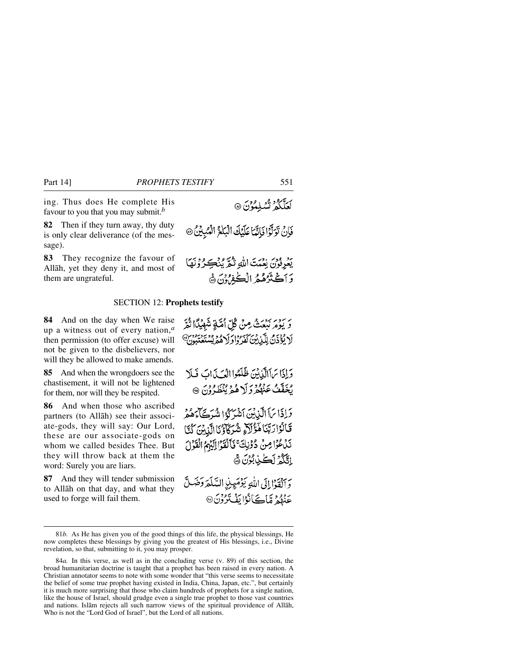ing. Thus does He complete His favour to you that you may submit.*<sup>b</sup>*

**82** Then if they turn away, thy duty is only clear deliverance (of the message).

**83** They recognize the favour of Allåh, yet they deny it, and most of them are ungrateful.

#### SECTION 12: **Prophets testify**

**84** And on the day when We raise up a witness out of every nation,*<sup>a</sup>* then permission (to offer excuse) will not be given to the disbelievers, nor will they be allowed to make amends.

**85** And when the wrongdoers see the chastisement, it will not be lightened for them, nor will they be respited.

**86** And when those who ascribed partners (to Allåh) see their associate-gods, they will say: Our Lord, these are our associate-gods on whom we called besides Thee. But they will throw back at them the word: Surely you are liars.

**87** And they will tender submission to Allåh on that day, and what they used to forge will fail them.

فَإِنْ تَوَلَّوْا فَاتَّمَا عَلَيْكَ الْبَلْغُ الْمُبْيِنُ @

يَعْرِفُونَ نِعْبَتَ اللَّهِ ثُمَّ يُنْڪِرُوْنَهَا وَآَكَتْرُهُمُّ الْكُفِرُوْنَ ﴾

رَ رَوْرَ رَوْيَتْ مِنْ كُلِّ أُمَّةٍ شَهِيْكَا ثُمَّ لَا يُؤْذَنَ لِلَّيْابِينَ كَفَرُوا وَلَا هُمْ يُسْتَعْتَبُونَ ۚ

وَإِذَا تَ اَالَّذِيْنَ ظَلَّمُوا الْعَيَّذَابَ فَلَا يُخَفَّفُ عَنْهُمْ وَلَا هُمْ يُنْظَرُوْنَ ۞

وَإِذَا مَاَ الَّذِينَ اَشْرَكُوْا شُرَكَّا هُمُرَ قَالُوْارَبَّنَا هَؤُلَا شُرَكَاؤُنَا الَّذِينَ كُنَّا نَدْعُوْا مِنْ دُوْنِكَ ۚ فَأَلْقَوْا إِلَيْهِمُ الْقَوْلَ اِلَّكُمُ لَكُنْ بُوْنَ ﴾

وَآلُقَوْا إِلَى اللَّهِ يَوْمَعِنِي السَّلَّعَهَ وَضَلَّ <u>عِنْهُمْ</u> مَّاڪَانُوْا يَفُتَرُوْنَ@

لَعَلَّكُمُ تُسْلِمُوْنَ ۞

<sup>81</sup>*b.* As He has given you of the good things of this life, the physical blessings, He now completes these blessings by giving you the greatest of His blessings, i.e., Divine revelation, so that, submitting to it, you may prosper.

<sup>84</sup>*a.* In this verse, as well as in the concluding verse (v. 89) of this section, the broad humanitarian doctrine is taught that a prophet has been raised in every nation. A Christian annotator seems to note with some wonder that "this verse seems to necessitate the belief of some true prophet having existed in India, China, Japan, etc.", but certainly it is much more surprising that those who claim hundreds of prophets for a single nation, like the house of Israel, should grudge even a single true prophet to those vast countries and nations. Islåm rejects all such narrow views of the spiritual providence of Allåh, Who is not the "Lord God of Israel", but the Lord of all nations.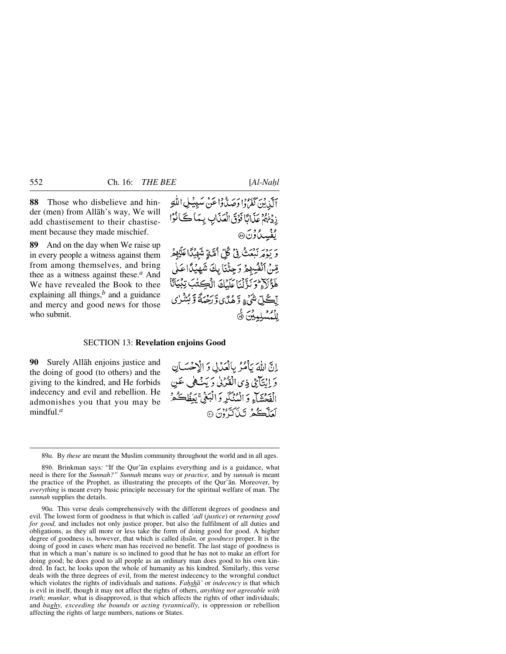**88** Those who disbelieve and hinder (men) from Allåh's way, We will add chastisement to their chastisement because they made mischief.

**89** And on the day when We raise up in every people a witness against them from among themselves, and bring thee as a witness against these.*<sup>a</sup>* And We have revealed the Book to thee explaining all things, $<sup>b</sup>$  and a guidance</sup> and mercy and good news for those who submit.

آلَنِينَ كَفَرْدُ (وَصَدَّدُوا عَنْ سَبِيبُ لِ اللَّهِ زِدْنُهُمْ عَذَابًا فَوْقَ الْعَذَابِ بِيَمَا كَتَانُوْا ه و<br>بُفْسِيا وُنَ® ءَ يَوَمَّرْ نَبْعَثُ فِيْ ݣُلِّ أَمَّنَةٍ شَهْيَدًا عَلَيْهِ قِنْ اَنْفُسِهِمْ وَجِئْنَا بِكَ شَهِيْدًا عَلَى هَؤَلَاءٌ وَيَذَّلْنَا عَلَيْكَ الْكِشَبَ تِبْيَانًا لِّڪُلِّ شَيۡءٍ وَّهُدَّى وَّرَحْمَةً وَبُشْرٰى لِلْمُسَلِّيثِينَ ۞

# SECTION 13: **Revelation enjoins Good**

**90** Surely Allåh enjoins justice and the doing of good (to others) and the giving to the kindred, and He forbids indecency and evil and rebellion. He admonishes you that you may be mindful.*<sup>a</sup>*

إِنَّ اللَّهَ يَأْمُرُ بِالْعَدَالِ وَ الْإِحْسَانِ وَ إِنْتَآئِي ذِي الْقَرْبِيٰ وَ يَبْسُطِي عَينِ الْفِحْشَاءِ وَ الْمُنْكَرِ وَ الْبَغْيِّ يَعِظُڪُمْ لَعَلَّكُمُ تَبْأَلَّهُ <sup>و</sup>َنَ ۞

89*a.* By *these* are meant the Muslim community throughout the world and in all ages.

90*a.* This verse deals comprehensively with the different degrees of goodness and evil. The lowest form of goodness is that which is called *'adl* (*justice*) or *returning good for good,* and includes not only justice proper, but also the fulfilment of all duties and obligations, as they all more or less take the form of doing good for good. A higher degree of goodness is, however, that which is called *ihsan*, or *goodness* proper. It is the doing of good in cases where man has received no benefit. The last stage of goodness is that in which a man's nature is so inclined to good that he has not to make an effort for doing good; he does good to all people as an ordinary man does good to his own kindred. In fact, he looks upon the whole of humanity as his kindred. Similarly, this verse deals with the three degrees of evil, from the merest indecency to the wrongful conduct which violates the rights of individuals and nations. *Fahsha'* or *indecency* is that which is evil in itself, though it may not affect the rights of others, *anything not agreeable with truth; munkar,* what is disapproved, is that which affects the rights of other individuals; and *baghy, exceeding the bounds* or *acting tyrannically,* is oppression or rebellion affecting the rights of large numbers, nations or States.

<sup>89</sup>*b.* Brinkman says: "If the Qur'ån explains everything and is a guidance, what need is there for the *Sunnah?" Sunnah* means *way* or *practice,* and by *sunnah* is meant the practice of the Prophet, as illustrating the precepts of the Qur'ån. Moreover, by *everything* is meant every basic principle necessary for the spiritual welfare of man. The *sunnah* supplies the details.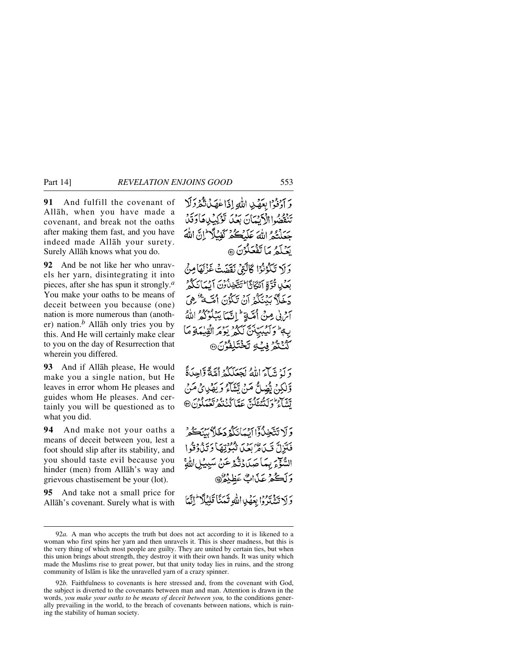**91** And fulfill the covenant of Allåh, when you have made a covenant, and break not the oaths after making them fast, and you have indeed made Allåh your surety. Surely Allåh knows what you do.

**92** And be not like her who unravels her yarn, disintegrating it into pieces, after she has spun it strongly.*<sup>a</sup>* You make your oaths to be means of deceit between you because (one) nation is more numerous than (another) nation.*<sup>b</sup>* Allåh only tries you by this. And He will certainly make clear to you on the day of Resurrection that wherein you differed.

**93** And if Allåh please, He would make you a single nation, but He leaves in error whom He pleases and guides whom He pleases. And certainly you will be questioned as to what you did.

**94** And make not your oaths a means of deceit between you, lest a foot should slip after its stability, and you should taste evil because you hinder (men) from Allåh's way and grievous chastisement be your (lot).

**95** And take not a small price for Allåh's covenant. Surely what is with وَ أَوْفُوْا بِعَهْدِ اللَّهِ إِذَا عٰهَدُنَّكُمْ وَلَا تَنْقَصُوا الْكَيْبَانَ بَعْدَ تَوْكِيْلِهِ كَادَقَدْ حَعَلَتْهُ اللَّهَ عَلَيْكُمْ كَفْيَلًا لَمَّ اللَّهَ بَعْبَدَ مَا تَفْعَلُوْنَ ۞

وَلَا تَكْوُنُوْا كَاتَتِيْ نَقَصَتْ غَزْلَهَا مِنْ بَعْبٍ قُوَّةٍ أَنَّكَمَ أَنَا تَتَّخِذُونَ أَبِيَانَكُمْ دَخَلاً بَيْنَكُمُ أَنْ تَكَوُّنَ أَقَبَّةٌ هُوَ آثرني مِنْ أُمَّتَةٍ لِمَ إِنَّمَا يَبْلُوْكُمْ اللَّهُ بِهِمْ وَآَيُبِيَبِيْنَ لَكُوْ يَوْمَرُ الْقِيْمَةِ مَا *ۮ*۠ؽؿۯڣۑؙٷؾڂٛؾؘڸڡ۠ٷڽۨ۞

وَ لَهُ تَدَبَّىٰ اللَّهُ لَحَعَلَكُمْ أَهَّةً وَّاحِدَةً وَّلْكِنْ يُضِلُّ مَنْ يَتَنَاءُ وَيَهْدِئُ مَنْ يىس مەركەدىنى ئىستانگ بۇي دېيونى ھ

وَلَا تَتَّخِذُوْاَ إِيْمَانَكُمْ دَخَلاً بِينَكُّرُ فَتَزِلَّ قَيِّدَاءُ بِعَنْ بِعِفْرَتِهَا دَيَّدُهُ وَقُوا السَّوَّعَ بِيمَا صَدَّدْتَكْهُ عَنْ سَبِيدُل وَلَكُمْ عَذَابٌ عَظِيْمٌ

وَلَا تَشْدَدُوْا بِعَصْدِاللَّهِ ثَمَيْنَا قَلِيْلًا ۖ إِنَّهَا

<sup>92</sup>*a.* A man who accepts the truth but does not act according to it is likened to a woman who first spins her yarn and then unravels it. This is sheer madness, but this is the very thing of which most people are guilty. They are united by certain ties, but when this union brings about strength, they destroy it with their own hands. It was unity which made the Muslims rise to great power, but that unity today lies in ruins, and the strong community of Islåm is like the unravelled yarn of a crazy spinner.

<sup>92</sup>*b.* Faithfulness to covenants is here stressed and, from the covenant with God, the subject is diverted to the covenants between man and man. Attention is drawn in the words, *you make your oaths to be means of deceit between you,* to the conditions generally prevailing in the world, to the breach of covenants between nations, which is ruining the stability of human society.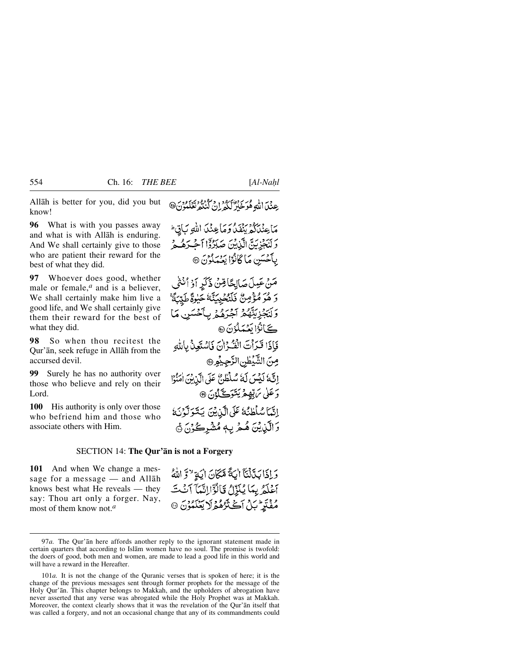Allåh is better for you, did you but know!

**96** What is with you passes away and what is with Allåh is enduring. And We shall certainly give to those who are patient their reward for the best of what they did.

**97** Whoever does good, whether male or female,<sup>*a*</sup> and is a believer, We shall certainly make him live a good life, and We shall certainly give them their reward for the best of what they did.

**98** So when thou recitest the Qur'ån, seek refuge in Allåh from the accursed devil.

**99** Surely he has no authority over those who believe and rely on their Lord.

**100** His authority is only over those who befriend him and those who associate others with Him.

عِنْدَ اللَّهِ هُوَخَلَرٌ لَكُمْ إِنْ كُنْتُهُ تَعْلَمُونَ۞

مَاعِنْدَلَكْهِ بِنِفْدُ وَمَاعِنْدَدَ اللَّهِ سَأَنِّ مَا وَلْنَجْزِيَنَّ الَّذِيْنَ صَبَرُوْٓا ٱحْبَرَهُ هُ بِأَحْسَنِ مَا كَانُوْا يَعْمَلُوْنَ @

مَنْ عَمِلَ صَالِحًا فِينُ ذَكَرٍ أَوْ أُنْثَى وَ هُوَ مُؤْمِنٌ فَلَنْحُيِيَنَّهُ حَيْوَةً طَيِّبَةً وَلَنَجْزِيَنَّهُمْ آَجْرَهُمْ بِأَخْسَنِ مَا كَانُوْا بَعْبَلُوْنَ @ فَإِذَا قَرَأَتَ الْقُرْانَ فَاسْتَعِنْ بِاللَّهِ مِنَ الشَّيْطْنِ الزَّحِيْمِ@ إِنَّهُ لَيْسَ لَهُ سُلْطُنٌ عَلَى الَّذِينَ امَنُوْا دَ عَلَى يَرَبِّهِمْ يَتَوَكَّلُوْنَ ۞ إِنَّمَا سُلْطِنُهُ عَلَى الَّذِينَ يَتَوَلَّوْنَهُ وَالَّيْلِيْنَ هُـمْ بِـهٖ مُشْرِكُوْنَ ۞

## SECTION 14: **The Qur'ån is not a Forgery**

**101** And when We change a message for a message — and Allåh knows best what He reveals — they say: Thou art only a forger. Nay, most of them know not.*<sup>a</sup>*

وَإِذَا بَدَّلْنَآ اللَّهَ مَّكَانَ اللَّهِ لَهُ وَاللَّهُ أَعْلَمُ بِمَا يُنَزِّلُ قَالَوْٓالِنَّمَآ أَنۡتَ مُفْتَرِ يَّنْ أَكْثَرُهُمْ لَا يَعْلَمُوْنَ ۞

<sup>97</sup>*a.* The Qur'ån here affords another reply to the ignorant statement made in certain quarters that according to Islåm women have no soul. The promise is twofold: the doers of good, both men and women, are made to lead a good life in this world and will have a reward in the Hereafter.

<sup>101</sup>*a.* It is not the change of the Quranic verses that is spoken of here; it is the change of the previous messages sent through former prophets for the message of the Holy Qur'ån. This chapter belongs to Makkah, and the upholders of abrogation have never asserted that any verse was abrogated while the Holy Prophet was at Makkah. Moreover, the context clearly shows that it was the revelation of the Qur'ån itself that was called a forgery, and not an occasional change that any of its commandments could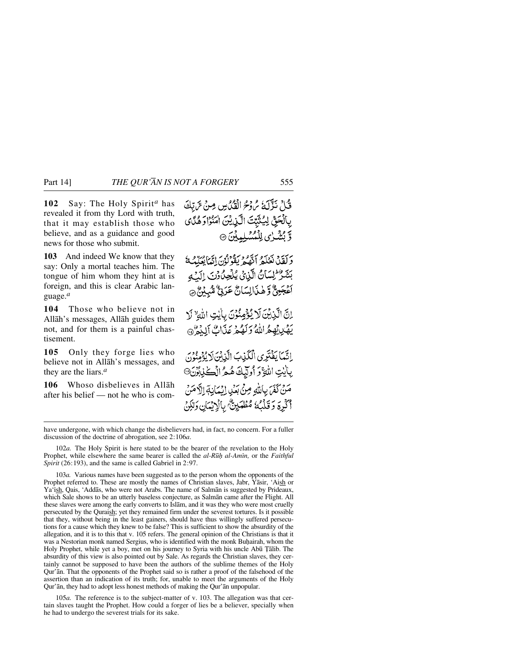**102** Say: The Holy Spirit*<sup>a</sup>* has revealed it from thy Lord with truth, that it may establish those who believe, and as a guidance and good news for those who submit.

**103** And indeed We know that they say: Only a mortal teaches him. The tongue of him whom they hint at is foreign, and this is clear Arabic language.*<sup>a</sup>*

**104** Those who believe not in Allåh's messages, Allåh guides them not, and for them is a painful chastisement.

**105** Only they forge lies who believe not in Allåh's messages, and they are the liars.*<sup>a</sup>*

**106** Whoso disbelieves in Allåh after his belief — not he who is comقُبْلَ نَذْلَكَ مُرْدْحُ الْقُدُّينِ مِنْ تَرَبَّكَ بِٱلْحَقِّ لِيُثَبِّتَ الَّذِينَ امْنُوْا وَهُدًى وَّ بُشْرٰى لِلْمُسْلِمِينَ ۞

وَلَقَدْ نَخْلَعُ الْهُعْرَ يَقُولُونَ إِنَّمَا يُحَلِّمُهُ بَتَنْزُ لِسَانُ الَّذِيْ يُلْحِلُ رُبَّ إِلَيْهِ أَعْجَمِيٌّ وَهٰذَالِسَانٌ عَرَبِيٌّ شَهْدُبٌ مِ

اِنَّ الَّذِينَ لَا يُؤْمِنُونَ بِاٰيتِ اللَّهِ ۚ لَا يَهْدِ بِهِمْ اللَّهُ وَلَهُمْ عَذَابٌ إَلِيْمٌ 9

اِتَّمَا يَفْتَرِي الْكَذِبَ الَّذِيْنَ لَا يُؤْمِنُونَ رِبَايْتِ اللَّهَّ وَ أُولِّيْكَ هُمُّ الْكَٰزِبُرُّنَ® مَنْ كَفَرَ بِاللَّهِ مِنْ بَعْدِ إِيْهَانِهَ إِلَّا مَنْ أَكْرِةَ وَقَلْبُكَ مُطْهَيْنٌ بِالْإِيْمَانِ وَلَٰكِنَ

102*a.* The Holy Spirit is here stated to be the bearer of the revelation to the Holy Prophet, while elsewhere the same bearer is called the *al-R∂ƒ al-Amßn,* or the *Faithful Spirit* (26:193), and the same is called Gabriel in 2:97.

103*a.* Various names have been suggested as to the person whom the opponents of the Prophet referred to. These are mostly the names of Christian slaves, Jabr, Yåsir, 'Aish or Ya'ish, Qais, 'Addās, who were not Arabs. The name of Salmān is suggested by Prideaux, which Sale shows to be an utterly baseless conjecture, as Salmån came after the Flight. All these slaves were among the early converts to Islåm, and it was they who were most cruelly persecuted by the Quraish; yet they remained firm under the severest tortures. Is it possible that they, without being in the least gainers, should have thus willingly suffered persecutions for a cause which they knew to be false? This is sufficient to show the absurdity of the allegation, and it is to this that v. 105 refers. The general opinion of the Christians is that it was a Nestorian monk named Sergius, who is identified with the monk Buhairah, whom the Holy Prophet, while yet a boy, met on his journey to Syria with his uncle Abū Țālib. The absurdity of this view is also pointed out by Sale. As regards the Christian slaves, they certainly cannot be supposed to have been the authors of the sublime themes of the Holy Qur'ån. That the opponents of the Prophet said so is rather a proof of the falsehood of the assertion than an indication of its truth; for, unable to meet the arguments of the Holy Qur'ån, they had to adopt less honest methods of making the Qur'ån unpopular.

105*a.* The reference is to the subject-matter of v. 103. The allegation was that certain slaves taught the Prophet. How could a forger of lies be a believer, specially when he had to undergo the severest trials for its sake.

have undergone, with which change the disbelievers had, in fact, no concern. For a fuller discussion of the doctrine of abrogation, see 2:106*a*.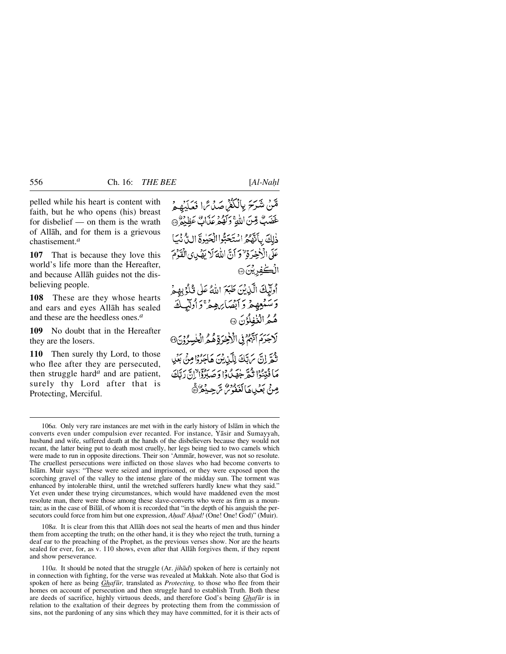pelled while his heart is content with faith, but he who opens (his) breast for disbelief — on them is the wrath of Allåh, and for them is a grievous chastisement.*<sup>a</sup>*

**107** That is because they love this world's life more than the Hereafter, and because Allåh guides not the disbelieving people.

**108** These are they whose hearts and ears and eyes Allåh has sealed and these are the heedless ones.*<sup>a</sup>*

**109** No doubt that in the Hereafter they are the losers.

**110** Then surely thy Lord, to those who flee after they are persecuted, then struggle hard*<sup>a</sup>* and are patient, surely thy Lord after that is Protecting, Merciful.

قْنْ شَرَحَ بِالْكُفْرِ صَدْتَرَا فَعَلَيْهِمْ عَضَبٌ قِينَ اللَّهِ وَكَهُوْ مِيَهَابٌ عَظِيْوٌ ۞ ذٰلِكَ بِأَنَّهُ مُ اسْتَحَبُّوا الْحَبْوةَ اللَّ نَّبَ عَلَى الْأَخِرَةِ " وَ أَنَّ اللَّهَ لَا يَهْدِى الْقَوْمَ الُڪْفِرِيْنَ۞

أُولِّيكَ الَّذِيْنَ طَبَعَ اللَّهُ عَلَى قُلُوُبِهِمَ وَسَنْعِهِمْ وَأَبْصَابِهِمْ ۚ وَأُولَيْكَ هُمُ الْغُفِلُوْنَ ۞ لَاجَرَمَ الْبَهُمْ فِي الْأَرْخِرَةِ هُمُ الْخُسِرُوْنَ، ثَمَّرَ إِنَّ مَ بَكَ لِلَّذِيْنَ هَاجَرُوْا مِنْ بَعْدِ مَا فُتِنُوْا ثُمَّ جَهَنُوْا وَصَلِرْوَا إِنَّ رَبَّكَ

مِنْ بَعْيِياهَالْغَفُوسُ تَرْجِيدُ هُ

106*a.* Only very rare instances are met with in the early history of Islåm in which the converts even under compulsion ever recanted. For instance, Yåsir and Sumayyah, husband and wife, suffered death at the hands of the disbelievers because they would not recant, the latter being put to death most cruelly, her legs being tied to two camels which were made to run in opposite directions. Their son 'Ammår, however, was not so resolute. The cruellest persecutions were inflicted on those slaves who had become converts to Islåm. Muir says: "These were seized and imprisoned, or they were exposed upon the scorching gravel of the valley to the intense glare of the midday sun. The torment was enhanced by intolerable thirst, until the wretched sufferers hardly knew what they said." Yet even under these trying circumstances, which would have maddened even the most resolute man, there were those among these slave-converts who were as firm as a mountain; as in the case of Bilål, of whom it is recorded that "in the depth of his anguish the persecutors could force from him but one expression, *Ahad! Ahad!* (One! One! God)" (Muir).

108*a.* It is clear from this that Allåh does not seal the hearts of men and thus hinder them from accepting the truth; on the other hand, it is they who reject the truth, turning a deaf ear to the preaching of the Prophet, as the previous verses show. Nor are the hearts sealed for ever, for, as v. 110 shows, even after that Allåh forgives them, if they repent and show perseverance.

110*a.* It should be noted that the struggle (Ar. *jihåd*) spoken of here is certainly not in connection with fighting, for the verse was revealed at Makkah. Note also that God is spoken of here as being *Ghafūr*, translated as *Protecting*, to those who flee from their homes on account of persecution and then struggle hard to establish Truth. Both these are deeds of sacrifice, highly virtuous deeds, and therefore God's being *Ghaf∂r* is in relation to the exaltation of their degrees by protecting them from the commission of sins, not the pardoning of any sins which they may have committed, for it is their acts of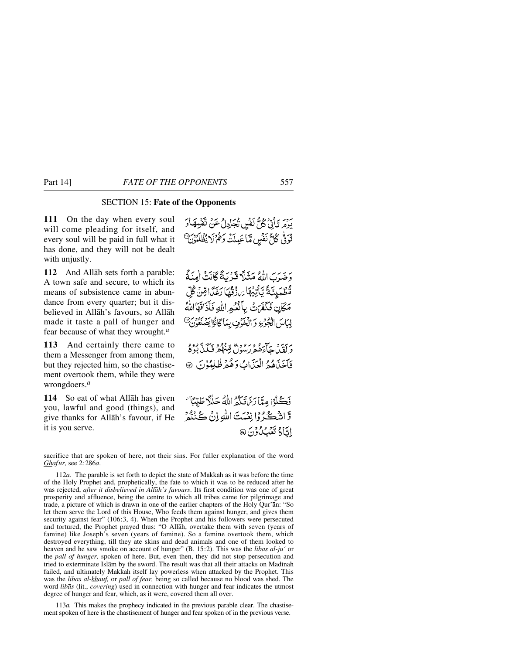# SECTION 15: **Fate of the Opponents**

**111** On the day when every soul will come pleading for itself, and every soul will be paid in full what it has done, and they will not be dealt with unjustly.

**112** And Allåh sets forth a parable: A town safe and secure, to which its means of subsistence came in abundance from every quarter; but it disbelieved in Allåh's favours, so Allåh made it taste a pall of hunger and fear because of what they wrought.*<sup>a</sup>*

**113** And certainly there came to them a Messenger from among them, but they rejected him, so the chastisement overtook them, while they were wrongdoers.*<sup>a</sup>*

**114** So eat of what Allåh has given you, lawful and good (things), and give thanks for Allåh's favour, if He it is you serve.

بِرِمَ تَأْتِيَ كُلُّ نَفْسٍ تُجَادِلُ عَنْ تَقْسِهَا وَ تُوَفَّىٰ كُلُّ نَفْسٍ مَّا عَبِيلَتْ وَهُمْ لَا يُظُلِّمُونَ ۗ

وَضَرَبَ اللَّهُ مَثَلًا قَرْيَةً كَانَتْ اٰمِنَةً مُّطْمَيِنَّةً يَّأْتِيْهَا بَرَزْقُهَا رَغَدًا قِنْ كُلِّ مَكَانٍ فَكَفَرَتْ بِأَنْحُمِ اللّهِ فَأَذَاقَهَا اللّهُ لِبَاسَ الْجُرْعِ وَالْخَوْفِ بِمَاكَانُوْا يَصْنَعُوْنَ @

بەسىر سازەدە بەرەپچىدىك ئېروم<br>د لقىياچاءھۇرىسول قىنۇڭچە ئىگىدېۋە فَأَخَذَهُ وَالْعَذَابُ وَهُمْ ظُلِمُوْنَ ۞

فَكَّلُوْا مِيَّا رَسِّنَ تَكُنُّواللَّهُ حَلَلًا طَيِّبًا ۚ وَ الشَّڪُرُوا نِعْمَتَ اللهِ إِنْ ڪُنُنُّهِ اِتَاهُ تَعْبُكُ وُنَ @

sacrifice that are spoken of here, not their sins. For fuller explanation of the word *Ghaf∂r,* see 2:286*a*.

112*a.* The parable is set forth to depict the state of Makkah as it was before the time of the Holy Prophet and, prophetically, the fate to which it was to be reduced after he was rejected, *after it disbelieved in Allåh's favours*. Its first condition was one of great prosperity and affluence, being the centre to which all tribes came for pilgrimage and trade, a picture of which is drawn in one of the earlier chapters of the Holy Qur'ån: "So let them serve the Lord of this House, Who feeds them against hunger, and gives them security against fear" (106:3, 4). When the Prophet and his followers were persecuted and tortured, the Prophet prayed thus: "O Allåh, overtake them with seven (years of famine) like Joseph's seven (years of famine). So a famine overtook them, which destroyed everything, till they ate skins and dead animals and one of them looked to heaven and he saw smoke on account of hunger" (B. 15:2). This was the *libås al-j∂'* or the *pall of hunger,* spoken of here. But, even then, they did not stop persecution and tried to exterminate Islam by the sword. The result was that all their attacks on Madinah failed, and ultimately Makkah itself lay powerless when attacked by the Prophet. This was the *libås al-khauf,* or *pall of fear,* being so called because no blood was shed. The word *libås* (lit., *covering*) used in connection with hunger and fear indicates the utmost degree of hunger and fear, which, as it were, covered them all over.

113*a.* This makes the prophecy indicated in the previous parable clear. The chastisement spoken of here is the chastisement of hunger and fear spoken of in the previous verse.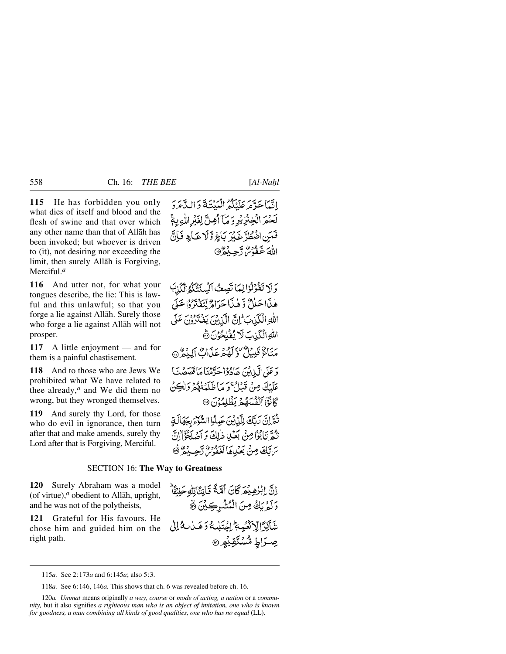**115** He has forbidden you only what dies of itself and blood and the flesh of swine and that over which any other name than that of Allåh has been invoked; but whoever is driven to (it), not desiring nor exceeding the limit, then surely Allåh is Forgiving, Merciful.*<sup>a</sup>*

**116** And utter not, for what your tongues describe, the lie: This is lawful and this unlawful; so that you forge a lie against Allåh. Surely those who forge a lie against Allåh will not prosper.

**117** A little enjoyment — and for them is a painful chastisement.

**118** And to those who are Jews We prohibited what We have related to thee already,*<sup>a</sup>* and We did them no wrong, but they wronged themselves.

**119** And surely thy Lord, for those who do evil in ignorance, then turn after that and make amends, surely thy Lord after that is Forgiving, Merciful.

اتَّبَاحَدَّهُ عَلَيْكُمُ الْمَنْتَةَ وَالدَّهَرَدَ لَحْمَرَ الْخِنْزِيْرِ وَ مَآ أَهِنَّ لِغَيْرِ اللَّٰهِ بِهِمْ فَمَنِنِ اضْطُرَّ غَيْرَ بَاغِ وَّلَا عَبَادٍ فَإِنَّ اللهَ غَفْوُسٌ رَّحِيْثُوْ@

وَلَا تَقُوْلُوْالِهَا تَصِعُ ٱلْسِنَتَكَمُّ ٱلْكَذِبَ هٰذَا حَلاٌ وَّ هٰذَا حَرَاهٌ لِّتَفَتَرُوْا عَلَى اللهِ الْكَذِبِ إِنَّ الَّذِينَ يَفْتَرُوْنَ عَلَى اللّهِ الْكَيْتِ لَا يُفْلِحُوْنَ ﴾ مَنَاءٌ قَلِيلٌ وَلَوْمٍ عَذَابٌ إِلَيْمٌ ۞ وَ عَلَى الَّذِينَ هَادُوْا حَدَّمْنَا مَا قَصَصْتَ عَلَيْكَ مِنْ قَبْلُ ۚ وَمَا ظَلَمْنَهُمْ وَلَٰكِنْ كَانْوَا آنْفُسْهُمْ يَظْلِمُوْنَ @

تُغَرَّانَ رَبَّكَ لِلَّذِينَ عَبِدْدَا السُّعْرَ بِجَهَالَةِ تْبُمَّ تَأْبُوْا مِنْ بَعْدِ ذٰلِكَ وَ أَصْلَحْوَّالِنَّ ترتك مِنْ بَعْدِهَا لَعْفُوسُ رَحِيدُ الله

# SECTION 16: **The Way to Greatness**

**120** Surely Abraham was a model (of virtue), $a$  obedient to Allah, upright, and he was not of the polytheists,

**121** Grateful for His favours. He chose him and guided him on the right path.

118*a.* See 6:146, 146*a.* This shows that ch. 6 was revealed before ch. 16.

120*a. Ummat* means originally *a way, course* or *mode of acting, a nation* or a *community,* but it also signifies *a righteous man who is an object of imitation, one who is known for goodness, a man combining all kinds of good qualities, one who has no equal* (LL).

اِنَّ ابْرُهِيْمَرَ كَانَ أَمَّةً قَانِتَاتِهُ حَنفَاً وَلَمْ يَكُ مِنَ الْمُشْرِكِيْنَ ﴾ شَاكِرًا لِٱنْصُبَةُ اِجْتَلَيْهُ وَهَـٰأَبِّ لِهُ إِلَىٰ صِرَاطِ مُّسۡتَقِيۡهِ ِ۞

<sup>115</sup>*a.* See 2:173*a* and 6:145*a*; also 5:3.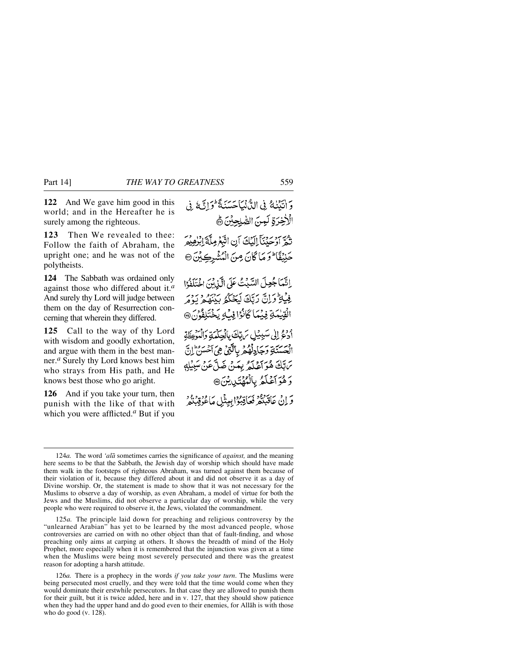**122** And We gave him good in this world; and in the Hereafter he is surely among the righteous.

**123** Then We revealed to thee: Follow the faith of Abraham, the upright one; and he was not of the polytheists.

**124** The Sabbath was ordained only against those who differed about it.*<sup>a</sup>* And surely thy Lord will judge between them on the day of Resurrection concerning that wherein they differed.

**125** Call to the way of thy Lord with wisdom and goodly exhortation, and argue with them in the best manner.*<sup>a</sup>* Surely thy Lord knows best him who strays from His path, and He knows best those who go aright.

**126** And if you take your turn, then punish with the like of that with which you were afflicted.*<sup>a</sup>* But if you

وَ اٰتَنۡنَاهُ فِي الدُّنۡنَاجَسَنَةً ۖ وَاتَّبَعُ فِي الْأَخِرَةِ لَمِنَ الصَّلِحِيْنَ ﴾ تَثَمَّرَ أَوْحَيْنَآَ إِلَيْكَ أَنِ اتَّبَعُ مِلَّهُ إِبْرُهِيْمِ حَنِيۡقَاۚ ۖ وَ مَا كَانَ مِنَ الْمُشْرِكِيۡنَ ۞ اِنَّمَا جُعِلَ السَّبْتُ عَلَى الَّذِيْنَ اخْتَلَفُوْا فِيْهِ وَإِنَّ رَبِّكَ لَيَحْكُمُ بِيَنْهُمْ يَوْمَر الْقِيْمَةِ فِيْمَا كَانْزَا فِكْ يَخْتَلِفُونَ @ ادع إلى سَبِيْلِ بَرِيّكَ بِالْجِكْمَةِ وَالْمَوْعِظَةِ الْعَسَنَةِ وَجَادِلْهُمْ بِالَّتِيْ هِيَ آَخْسَنُ إِنِّ تَابَكَ هُوَ آَعْلَمُ بِعَنْ ضَلَّ عَنْ سَبِيْلِهِ وَهُوَ آَعَلَمُ بِالْمُهْتَدِينَ، وَ إِنْ عَاقَبْنَهُ فَعَاقِبُوْا بِبِيثْلِ مَاعُوُقِبْنَهُ ۚ

<sup>124</sup>*a.* The word *'alå* sometimes carries the significance of *against,* and the meaning here seems to be that the Sabbath, the Jewish day of worship which should have made them walk in the footsteps of righteous Abraham, was turned against them because of their violation of it, because they differed about it and did not observe it as a day of Divine worship. Or, the statement is made to show that it was not necessary for the Muslims to observe a day of worship, as even Abraham, a model of virtue for both the Jews and the Muslims, did not observe a particular day of worship, while the very people who were required to observe it, the Jews, violated the commandment.

<sup>125</sup>*a.* The principle laid down for preaching and religious controversy by the "unlearned Arabian" has yet to be learned by the most advanced people, whose controversies are carried on with no other object than that of fault-finding, and whose preaching only aims at carping at others. It shows the breadth of mind of the Holy Prophet, more especially when it is remembered that the injunction was given at a time when the Muslims were being most severely persecuted and there was the greatest reason for adopting a harsh attitude.

<sup>126</sup>*a.* There is a prophecy in the words *if you take your turn*. The Muslims were being persecuted most cruelly, and they were told that the time would come when they would dominate their erstwhile persecutors. In that case they are allowed to punish them for their guilt, but it is twice added, here and in v. 127, that they should show patience when they had the upper hand and do good even to their enemies, for Allåh is with those who do good (v. 128).